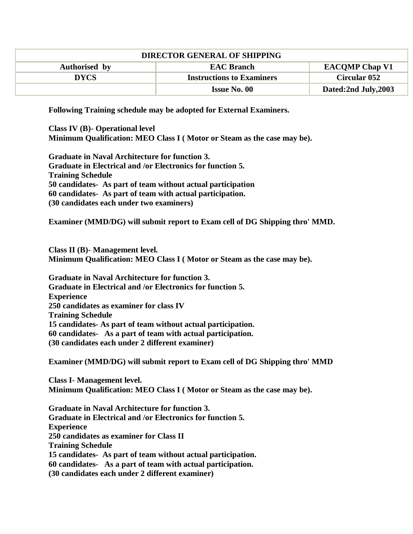| <b>DIRECTOR GENERAL OF SHIPPING</b> |                                  |                       |
|-------------------------------------|----------------------------------|-----------------------|
| Authorised by                       | <b>EAC Branch</b>                | <b>EACOMP Chap V1</b> |
| DYCS                                | <b>Instructions to Examiners</b> | <b>Circular 052</b>   |
|                                     | <b>Issue No. 00</b>              | Dated:2nd July,2003   |

**Following Training schedule may be adopted for External Examiners.** 

**Class IV (B)- Operational level Minimum Qualification: MEO Class I ( Motor or Steam as the case may be).**

**Graduate in Naval Architecture for function 3. Graduate in Electrical and /or Electronics for function 5. Training Schedule 50 candidates- As part of team without actual participation 60 candidates- As part of team with actual participation. (30 candidates each under two examiners)**

**Examiner (MMD/DG) will submit report to Exam cell of DG Shipping thro' MMD.**

**Class II (B)- Management level.**

**Minimum Qualification: MEO Class I ( Motor or Steam as the case may be).**

**Graduate in Naval Architecture for function 3. Graduate in Electrical and /or Electronics for function 5. Experience 250 candidates as examiner for class IV Training Schedule 15 candidates- As part of team without actual participation. 60 candidates- As a part of team with actual participation. (30 candidates each under 2 different examiner)**

**Examiner (MMD/DG) will submit report to Exam cell of DG Shipping thro' MMD**

**Class I- Management level. Minimum Qualification: MEO Class I ( Motor or Steam as the case may be).**

**Graduate in Naval Architecture for function 3. Graduate in Electrical and /or Electronics for function 5. Experience 250 candidates as examiner for Class II Training Schedule 15 candidates- As part of team without actual participation. 60 candidates- As a part of team with actual participation. (30 candidates each under 2 different examiner)**